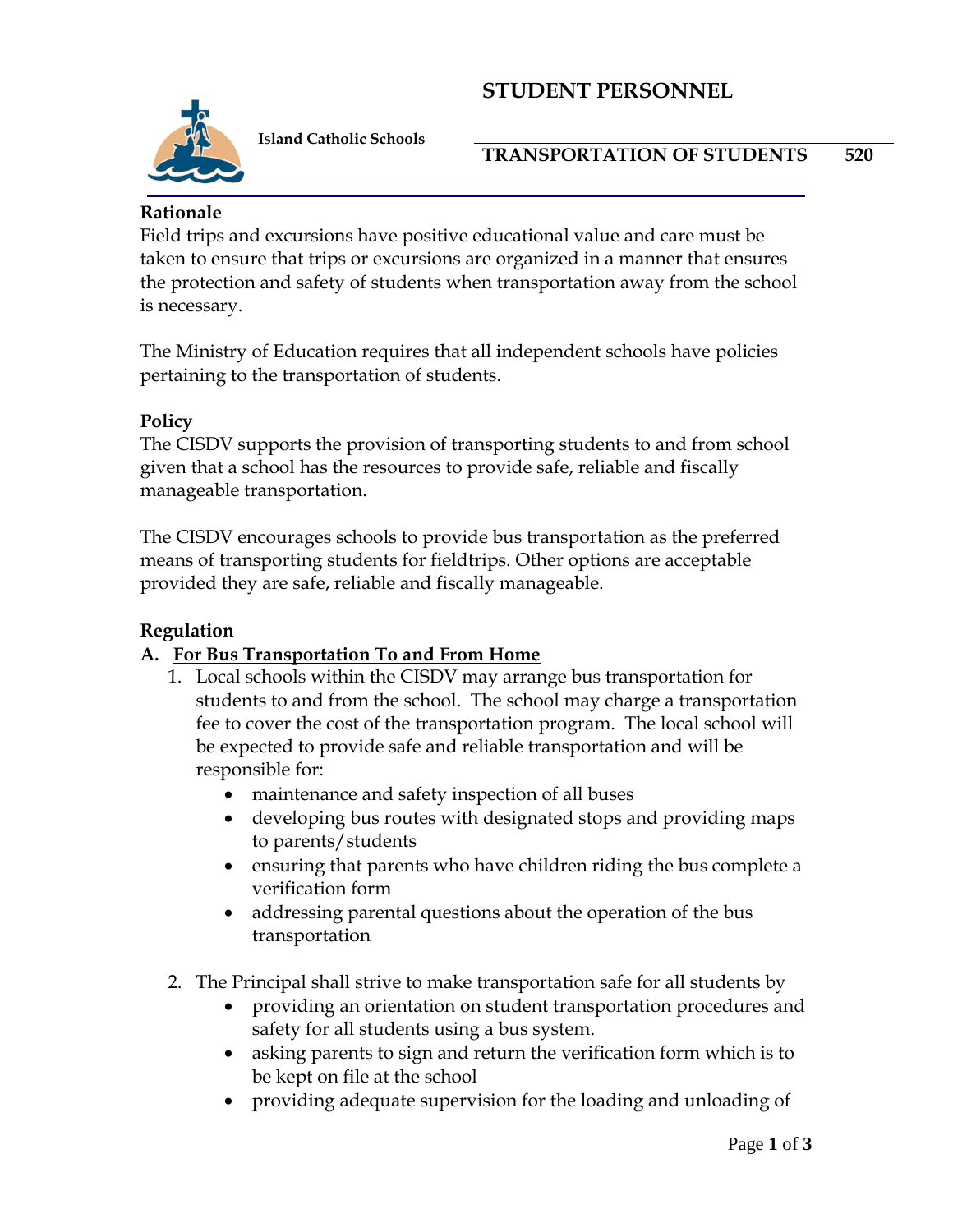# **STUDENT PERSONNEL**



 **Island Catholic Schools**

**TRANSPORTATION OF STUDENTS 520**

### **Rationale**

Field trips and excursions have positive educational value and care must be taken to ensure that trips or excursions are organized in a manner that ensures the protection and safety of students when transportation away from the school is necessary.

The Ministry of Education requires that all independent schools have policies pertaining to the transportation of students.

#### **Policy**

The CISDV supports the provision of transporting students to and from school given that a school has the resources to provide safe, reliable and fiscally manageable transportation.

The CISDV encourages schools to provide bus transportation as the preferred means of transporting students for fieldtrips. Other options are acceptable provided they are safe, reliable and fiscally manageable.

#### **Regulation**

## **A. For Bus Transportation To and From Home**

- 1. Local schools within the CISDV may arrange bus transportation for students to and from the school. The school may charge a transportation fee to cover the cost of the transportation program. The local school will be expected to provide safe and reliable transportation and will be responsible for:
	- maintenance and safety inspection of all buses
	- developing bus routes with designated stops and providing maps to parents/students
	- ensuring that parents who have children riding the bus complete a verification form
	- addressing parental questions about the operation of the bus transportation
- 2. The Principal shall strive to make transportation safe for all students by
	- providing an orientation on student transportation procedures and safety for all students using a bus system.
	- asking parents to sign and return the verification form which is to be kept on file at the school
	- providing adequate supervision for the loading and unloading of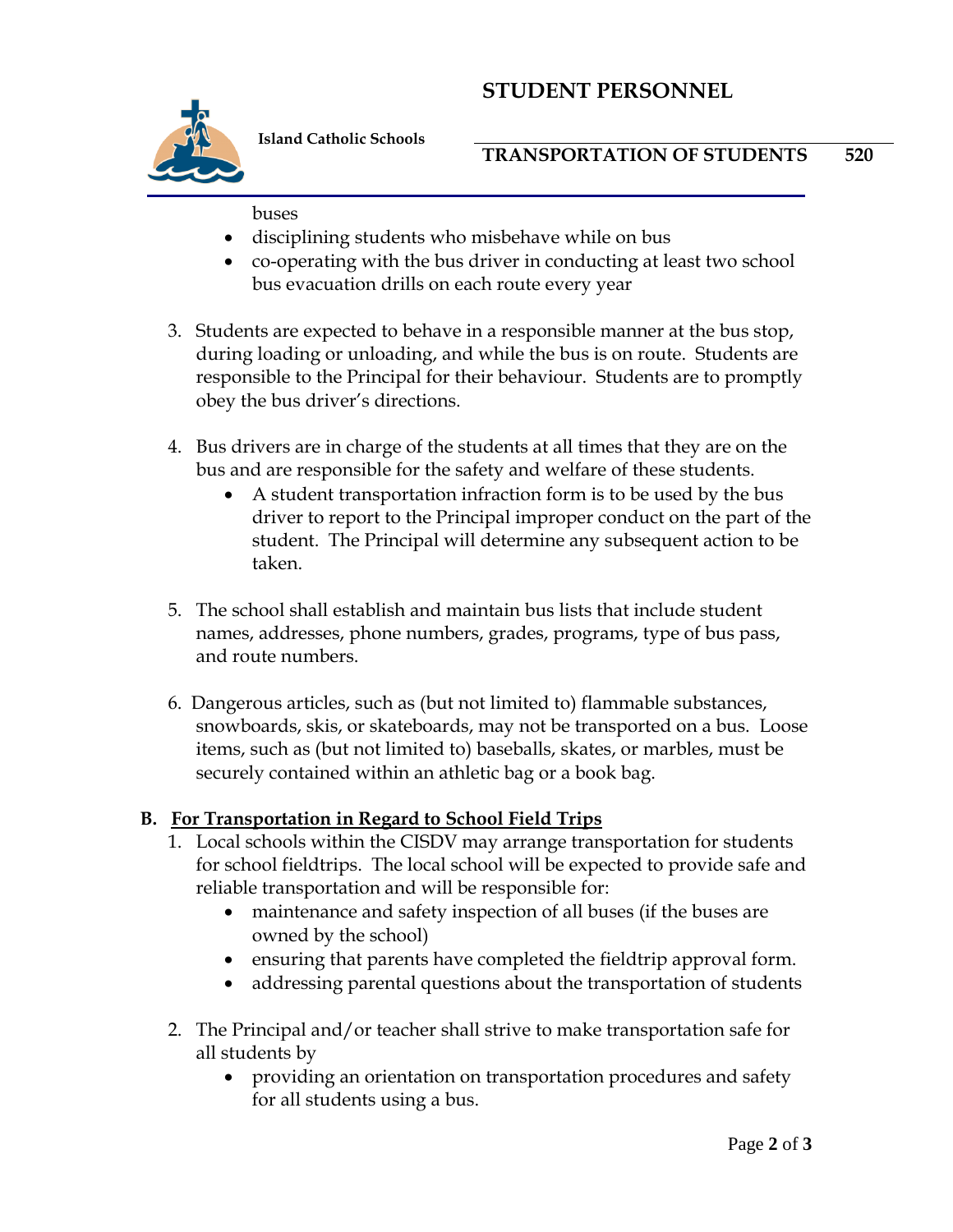# **STUDENT PERSONNEL**



 **Island Catholic Schools**

#### buses

- disciplining students who misbehave while on bus
- co-operating with the bus driver in conducting at least two school bus evacuation drills on each route every year
- 3. Students are expected to behave in a responsible manner at the bus stop, during loading or unloading, and while the bus is on route. Students are responsible to the Principal for their behaviour. Students are to promptly obey the bus driver's directions.
- 4. Bus drivers are in charge of the students at all times that they are on the bus and are responsible for the safety and welfare of these students.
	- A student transportation infraction form is to be used by the bus driver to report to the Principal improper conduct on the part of the student. The Principal will determine any subsequent action to be taken.
- 5. The school shall establish and maintain bus lists that include student names, addresses, phone numbers, grades, programs, type of bus pass, and route numbers.
- 6. Dangerous articles, such as (but not limited to) flammable substances, snowboards, skis, or skateboards, may not be transported on a bus. Loose items, such as (but not limited to) baseballs, skates, or marbles, must be securely contained within an athletic bag or a book bag.

## **B. For Transportation in Regard to School Field Trips**

- 1. Local schools within the CISDV may arrange transportation for students for school fieldtrips. The local school will be expected to provide safe and reliable transportation and will be responsible for:
	- maintenance and safety inspection of all buses (if the buses are owned by the school)
	- ensuring that parents have completed the fieldtrip approval form.
	- addressing parental questions about the transportation of students
- 2. The Principal and/or teacher shall strive to make transportation safe for all students by
	- providing an orientation on transportation procedures and safety for all students using a bus.